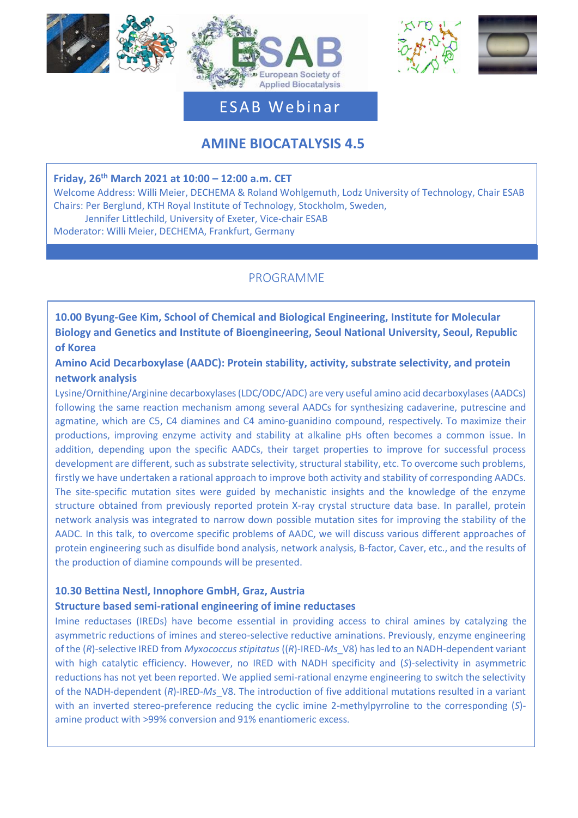







# ESAB Webinar

# **AMINE BIOCATALYSIS 4.5**

### **Friday, 26th March 2021 at 10:00 – 12:00 a.m. CET**

Welcome Address: Willi Meier, DECHEMA & Roland Wohlgemuth, Lodz University of Technology, Chair ESAB Chairs: Per Berglund, KTH Royal Institute of Technology, Stockholm, Sweden, Jennifer Littlechild, University of Exeter, Vice-chair ESAB

Moderator: Willi Meier, DECHEMA, Frankfurt, Germany

## PROGRAMME

**10.00 Byung-Gee Kim, School of Chemical and Biological Engineering, Institute for Molecular Biology and Genetics and Institute of Bioengineering, Seoul National University, Seoul, Republic of Korea**

**Amino Acid Decarboxylase (AADC): Protein stability, activity, substrate selectivity, and protein network analysis**

Lysine/Ornithine/Arginine decarboxylases(LDC/ODC/ADC) are very useful amino acid decarboxylases(AADCs) following the same reaction mechanism among several AADCs for synthesizing cadaverine, putrescine and agmatine, which are C5, C4 diamines and C4 amino-guanidino compound, respectively. To maximize their productions, improving enzyme activity and stability at alkaline pHs often becomes a common issue. In addition, depending upon the specific AADCs, their target properties to improve for successful process development are different, such as substrate selectivity, structural stability, etc. To overcome such problems, firstly we have undertaken a rational approach to improve both activity and stability of corresponding AADCs. The site-specific mutation sites were guided by mechanistic insights and the knowledge of the enzyme structure obtained from previously reported protein X-ray crystal structure data base. In parallel, protein network analysis was integrated to narrow down possible mutation sites for improving the stability of the AADC. In this talk, to overcome specific problems of AADC, we will discuss various different approaches of protein engineering such as disulfide bond analysis, network analysis, B-factor, Caver, etc., and the results of the production of diamine compounds will be presented.

### **10.30 Bettina Nestl, Innophore GmbH, Graz, Austria**

Manchester († 1872)<br>1905 - Johann Barnett, frysk skriuwer († 1873)<br>1906 - Johann Barnett, frysk skriuwer († 1873)

### **Structure based semi-rational engineering of imine reductases**

Imine reductases (IREDs) have become essential in providing access to chiral amines by catalyzing the asymmetric reductions of imines and stereo-selective reductive aminations. Previously, enzyme engineering of the (*R*)-selective IRED from *Myxococcus stipitatus* ((*R*)-IRED-*Ms*\_V8) has led to an NADH-dependent variant with high catalytic efficiency. However, no IRED with NADH specificity and (*S*)-selectivity in asymmetric reductions has not yet been reported. We applied semi-rational enzyme engineering to switch the selectivity of the NADH-dependent (*R*)-IRED-*Ms*\_V8. The introduction of five additional mutations resulted in a variant with an inverted stereo-preference reducing the cyclic imine 2-methylpyrroline to the corresponding (*S*) amine product with >99% conversion and 91% enantiomeric excess.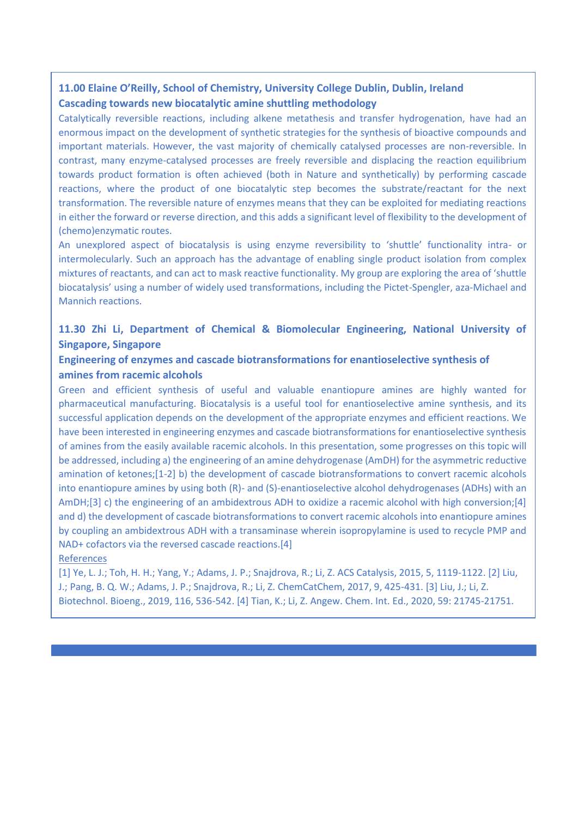## **11.00 Elaine O'Reilly, School of Chemistry, University College Dublin, Dublin, Ireland Cascading towards new biocatalytic amine shuttling methodology**

Catalytically reversible reactions, including alkene metathesis and transfer hydrogenation, have had an enormous impact on the development of synthetic strategies for the synthesis of bioactive compounds and important materials. However, the vast majority of chemically catalysed processes are non-reversible. In contrast, many enzyme-catalysed processes are freely reversible and displacing the reaction equilibrium towards product formation is often achieved (both in Nature and synthetically) by performing cascade reactions, where the product of one biocatalytic step becomes the substrate/reactant for the next transformation. The reversible nature of enzymes means that they can be exploited for mediating reactions in either the forward or reverse direction, and this adds a significant level of flexibility to the development of (chemo)enzymatic routes.

An unexplored aspect of biocatalysis is using enzyme reversibility to 'shuttle' functionality intra- or intermolecularly. Such an approach has the advantage of enabling single product isolation from complex mixtures of reactants, and can act to mask reactive functionality. My group are exploring the area of 'shuttle biocatalysis' using a number of widely used transformations, including the Pictet-Spengler, aza-Michael and Mannich reactions.

## **11.30 Zhi Li, Department of Chemical & Biomolecular Engineering, National University of Singapore, Singapore**

## **Engineering of enzymes and cascade biotransformations for enantioselective synthesis of amines from racemic alcohols**

Green and efficient synthesis of useful and valuable enantiopure amines are highly wanted for pharmaceutical manufacturing. Biocatalysis is a useful tool for enantioselective amine synthesis, and its successful application depends on the development of the appropriate enzymes and efficient reactions. We have been interested in engineering enzymes and cascade biotransformations for enantioselective synthesis of amines from the easily available racemic alcohols. In this presentation, some progresses on this topic will be addressed, including a) the engineering of an amine dehydrogenase (AmDH) for the asymmetric reductive amination of ketones;[1-2] b) the development of cascade biotransformations to convert racemic alcohols into enantiopure amines by using both (R)- and (S)-enantioselective alcohol dehydrogenases (ADHs) with an AmDH;[3] c) the engineering of an ambidextrous ADH to oxidize a racemic alcohol with high conversion;[4] and d) the development of cascade biotransformations to convert racemic alcohols into enantiopure amines by coupling an ambidextrous ADH with a transaminase wherein isopropylamine is used to recycle PMP and NAD+ cofactors via the reversed cascade reactions.[4]

#### References

[1] Ye, L. J.; Toh, H. H.; Yang, Y.; Adams, J. P.; Snajdrova, R.; Li, Z. ACS Catalysis, 2015, 5, 1119-1122. [2] Liu, J.; Pang, B. Q. W.; Adams, J. P.; Snajdrova, R.; Li, Z. ChemCatChem, 2017, 9, 425-431. [3] Liu, J.; Li, Z. Biotechnol. Bioeng., 2019, 116, 536-542. [4] Tian, K.; Li, Z. Angew. Chem. Int. Ed., 2020, 59: 21745-21751.